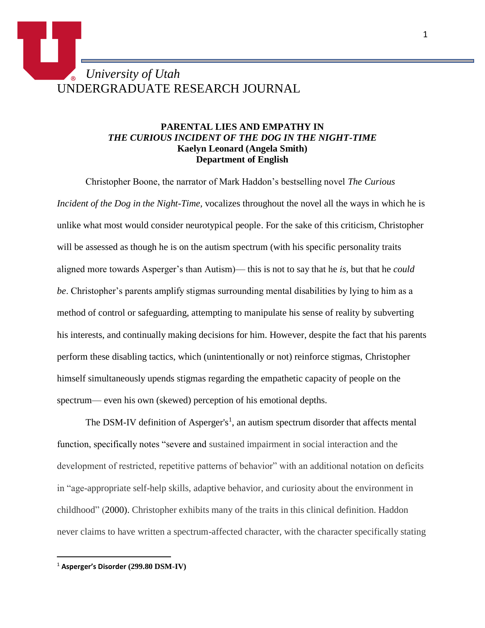## *University of Utah* UNDERGRADUATE RESEARCH JOURNAL

## **PARENTAL LIES AND EMPATHY IN**  *THE CURIOUS INCIDENT OF THE DOG IN THE NIGHT-TIME* **Kaelyn Leonard (Angela Smith) Department of English**

Christopher Boone, the narrator of Mark Haddon's bestselling novel *The Curious Incident of the Dog in the Night-Time,* vocalizes throughout the novel all the ways in which he is unlike what most would consider neurotypical people. For the sake of this criticism, Christopher will be assessed as though he is on the autism spectrum (with his specific personality traits aligned more towards Asperger's than Autism)— this is not to say that he *is*, but that he *could be*. Christopher's parents amplify stigmas surrounding mental disabilities by lying to him as a method of control or safeguarding, attempting to manipulate his sense of reality by subverting his interests, and continually making decisions for him. However, despite the fact that his parents perform these disabling tactics, which (unintentionally or not) reinforce stigmas, Christopher himself simultaneously upends stigmas regarding the empathetic capacity of people on the spectrum— even his own (skewed) perception of his emotional depths.

The DSM-IV definition of Asperger's<sup>1</sup>, an autism spectrum disorder that affects mental function, specifically notes "severe and sustained impairment in social interaction and the development of restricted, repetitive patterns of behavior" with an additional notation on deficits in "age-appropriate self-help skills, adaptive behavior, and curiosity about the environment in childhood" (2000). Christopher exhibits many of the traits in this clinical definition. Haddon never claims to have written a spectrum-affected character, with the character specifically stating

 $\overline{a}$ 

<sup>1</sup> **Asperger's Disorder (299.80 DSM-IV)**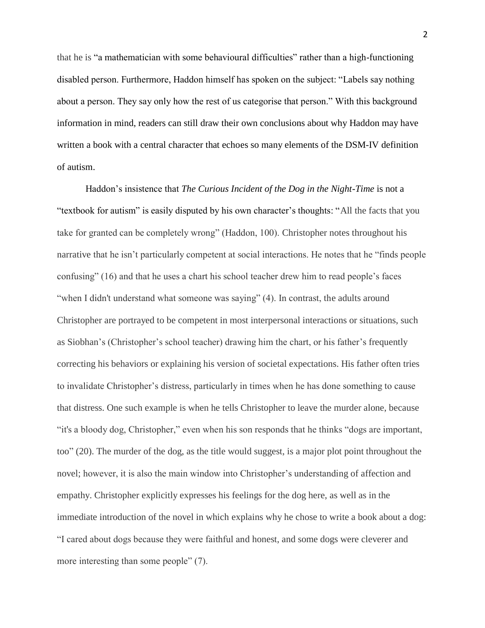that he is "a mathematician with some behavioural difficulties" rather than a high-functioning disabled person. Furthermore, Haddon himself has spoken on the subject: "Labels say nothing about a person. They say only how the rest of us categorise that person." With this background information in mind, readers can still draw their own conclusions about why Haddon may have written a book with a central character that echoes so many elements of the DSM-IV definition of autism.

Haddon's insistence that *The Curious Incident of the Dog in the Night-Time* is not a "textbook for autism" is easily disputed by his own character's thoughts: "All the facts that you take for granted can be completely wrong" (Haddon, 100). Christopher notes throughout his narrative that he isn't particularly competent at social interactions. He notes that he "finds people confusing" (16) and that he uses a chart his school teacher drew him to read people's faces "when I didn't understand what someone was saying" (4). In contrast, the adults around Christopher are portrayed to be competent in most interpersonal interactions or situations, such as Siobhan's (Christopher's school teacher) drawing him the chart, or his father's frequently correcting his behaviors or explaining his version of societal expectations. His father often tries to invalidate Christopher's distress, particularly in times when he has done something to cause that distress. One such example is when he tells Christopher to leave the murder alone, because "it's a bloody dog, Christopher," even when his son responds that he thinks "dogs are important, too" (20). The murder of the dog, as the title would suggest, is a major plot point throughout the novel; however, it is also the main window into Christopher's understanding of affection and empathy. Christopher explicitly expresses his feelings for the dog here, as well as in the immediate introduction of the novel in which explains why he chose to write a book about a dog: "I cared about dogs because they were faithful and honest, and some dogs were cleverer and more interesting than some people" (7).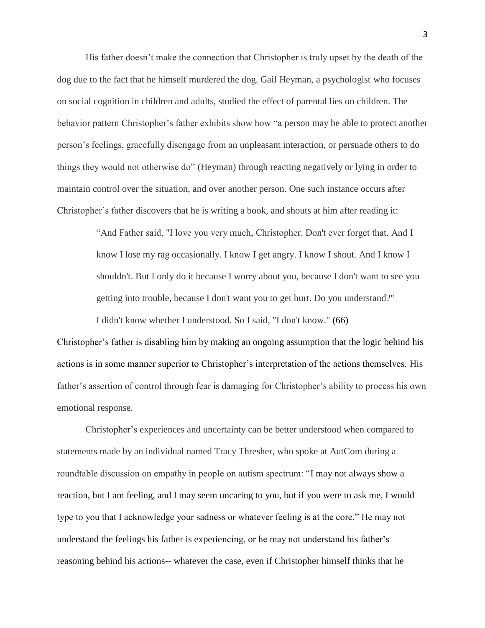His father doesn't make the connection that Christopher is truly upset by the death of the dog due to the fact that he himself murdered the dog. Gail Heyman, a psychologist who focuses on social cognition in children and adults, studied the effect of parental lies on children. The behavior pattern Christopher's father exhibits show how "a person may be able to protect another person's feelings, gracefully disengage from an unpleasant interaction, or persuade others to do things they would not otherwise do" (Heyman) through reacting negatively or lying in order to maintain control over the situation, and over another person. One such instance occurs after Christopher's father discovers that he is writing a book, and shouts at him after reading it:

> "And Father said, "I love you very much, Christopher. Don't ever forget that. And I know I lose my rag occasionally. I know I get angry. I know I shout. And I know I shouldn't. But I only do it because I worry about you, because I don't want to see you getting into trouble, because I don't want you to get hurt. Do you understand?"

I didn't know whether I understood. So I said, "I don't know." (66)

Christopher's father is disabling him by making an ongoing assumption that the logic behind his actions is in some manner superior to Christopher's interpretation of the actions themselves. His father's assertion of control through fear is damaging for Christopher's ability to process his own emotional response.

Christopher's experiences and uncertainty can be better understood when compared to statements made by an individual named Tracy Thresher, who spoke at AutCom during a roundtable discussion on empathy in people on autism spectrum: "I may not always show a reaction, but I am feeling, and I may seem uncaring to you, but if you were to ask me, I would type to you that I acknowledge your sadness or whatever feeling is at the core." He may not understand the feelings his father is experiencing, or he may not understand his father's reasoning behind his actions-- whatever the case, even if Christopher himself thinks that he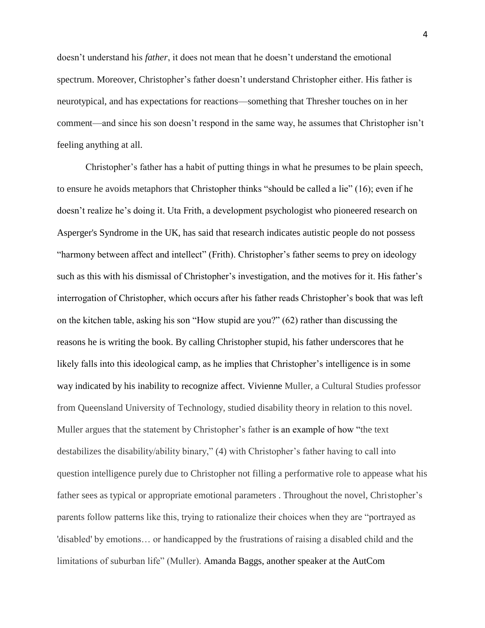doesn't understand his *father*, it does not mean that he doesn't understand the emotional spectrum. Moreover, Christopher's father doesn't understand Christopher either. His father is neurotypical, and has expectations for reactions—something that Thresher touches on in her comment—and since his son doesn't respond in the same way, he assumes that Christopher isn't feeling anything at all.

Christopher's father has a habit of putting things in what he presumes to be plain speech, to ensure he avoids metaphors that Christopher thinks "should be called a lie" (16); even if he doesn't realize he's doing it. Uta Frith, a development psychologist who pioneered research on Asperger's Syndrome in the UK, has said that research indicates autistic people do not possess "harmony between affect and intellect" (Frith). Christopher's father seems to prey on ideology such as this with his dismissal of Christopher's investigation, and the motives for it. His father's interrogation of Christopher, which occurs after his father reads Christopher's book that was left on the kitchen table, asking his son "How stupid are you?" (62) rather than discussing the reasons he is writing the book. By calling Christopher stupid, his father underscores that he likely falls into this ideological camp, as he implies that Christopher's intelligence is in some way indicated by his inability to recognize affect. Vivienne Muller, a Cultural Studies professor from Queensland University of Technology, studied disability theory in relation to this novel. Muller argues that the statement by Christopher's father is an example of how "the text destabilizes the disability/ability binary," (4) with Christopher's father having to call into question intelligence purely due to Christopher not filling a performative role to appease what his father sees as typical or appropriate emotional parameters . Throughout the novel, Christopher's parents follow patterns like this, trying to rationalize their choices when they are "portrayed as 'disabled' by emotions… or handicapped by the frustrations of raising a disabled child and the limitations of suburban life" (Muller). Amanda Baggs, another speaker at the AutCom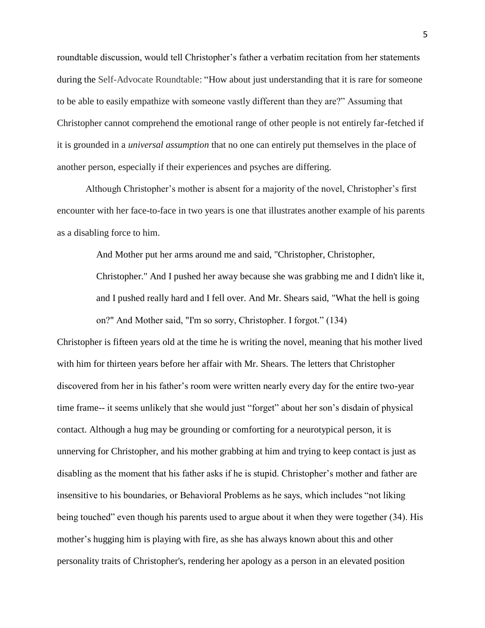roundtable discussion, would tell Christopher's father a verbatim recitation from her statements during the Self-Advocate Roundtable: "How about just understanding that it is rare for someone to be able to easily empathize with someone vastly different than they are?" Assuming that Christopher cannot comprehend the emotional range of other people is not entirely far-fetched if it is grounded in a *universal assumption* that no one can entirely put themselves in the place of another person, especially if their experiences and psyches are differing.

Although Christopher's mother is absent for a majority of the novel, Christopher's first encounter with her face-to-face in two years is one that illustrates another example of his parents as a disabling force to him.

And Mother put her arms around me and said, "Christopher, Christopher,

Christopher." And I pushed her away because she was grabbing me and I didn't like it, and I pushed really hard and I fell over. And Mr. Shears said, "What the hell is going on?" And Mother said, "I'm so sorry, Christopher. I forgot." (134)

Christopher is fifteen years old at the time he is writing the novel, meaning that his mother lived with him for thirteen years before her affair with Mr. Shears. The letters that Christopher discovered from her in his father's room were written nearly every day for the entire two-year time frame-- it seems unlikely that she would just "forget" about her son's disdain of physical contact. Although a hug may be grounding or comforting for a neurotypical person, it is unnerving for Christopher, and his mother grabbing at him and trying to keep contact is just as disabling as the moment that his father asks if he is stupid. Christopher's mother and father are insensitive to his boundaries, or Behavioral Problems as he says, which includes "not liking being touched" even though his parents used to argue about it when they were together (34). His mother's hugging him is playing with fire, as she has always known about this and other personality traits of Christopher's, rendering her apology as a person in an elevated position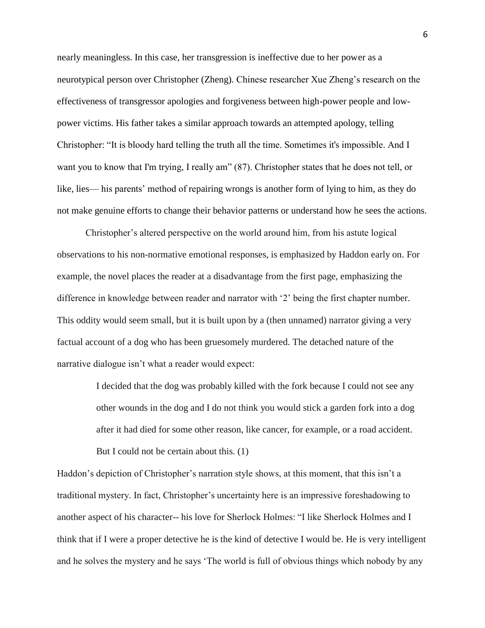nearly meaningless. In this case, her transgression is ineffective due to her power as a neurotypical person over Christopher (Zheng). Chinese researcher Xue Zheng's research on the effectiveness of transgressor apologies and forgiveness between high-power people and lowpower victims. His father takes a similar approach towards an attempted apology, telling Christopher: "It is bloody hard telling the truth all the time. Sometimes it's impossible. And I want you to know that I'm trying, I really am" (87). Christopher states that he does not tell, or like, lies— his parents' method of repairing wrongs is another form of lying to him, as they do not make genuine efforts to change their behavior patterns or understand how he sees the actions.

Christopher's altered perspective on the world around him, from his astute logical observations to his non-normative emotional responses, is emphasized by Haddon early on. For example, the novel places the reader at a disadvantage from the first page, emphasizing the difference in knowledge between reader and narrator with '2' being the first chapter number. This oddity would seem small, but it is built upon by a (then unnamed) narrator giving a very factual account of a dog who has been gruesomely murdered. The detached nature of the narrative dialogue isn't what a reader would expect:

> I decided that the dog was probably killed with the fork because I could not see any other wounds in the dog and I do not think you would stick a garden fork into a dog after it had died for some other reason, like cancer, for example, or a road accident. But I could not be certain about this. (1)

Haddon's depiction of Christopher's narration style shows, at this moment, that this isn't a traditional mystery. In fact, Christopher's uncertainty here is an impressive foreshadowing to another aspect of his character-- his love for Sherlock Holmes: "I like Sherlock Holmes and I think that if I were a proper detective he is the kind of detective I would be. He is very intelligent and he solves the mystery and he says 'The world is full of obvious things which nobody by any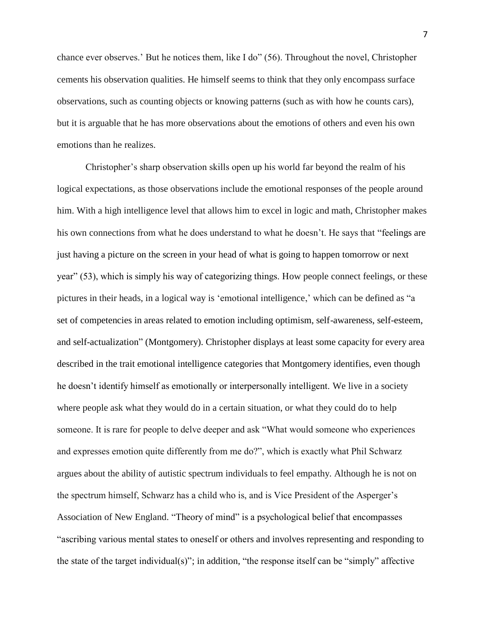chance ever observes.' But he notices them, like I do" (56). Throughout the novel, Christopher cements his observation qualities. He himself seems to think that they only encompass surface observations, such as counting objects or knowing patterns (such as with how he counts cars), but it is arguable that he has more observations about the emotions of others and even his own emotions than he realizes.

Christopher's sharp observation skills open up his world far beyond the realm of his logical expectations, as those observations include the emotional responses of the people around him. With a high intelligence level that allows him to excel in logic and math, Christopher makes his own connections from what he does understand to what he doesn't. He says that "feelings are just having a picture on the screen in your head of what is going to happen tomorrow or next year" (53), which is simply his way of categorizing things. How people connect feelings, or these pictures in their heads, in a logical way is 'emotional intelligence,' which can be defined as "a set of competencies in areas related to emotion including optimism, self-awareness, self-esteem, and self-actualization" (Montgomery). Christopher displays at least some capacity for every area described in the trait emotional intelligence categories that Montgomery identifies, even though he doesn't identify himself as emotionally or interpersonally intelligent. We live in a society where people ask what they would do in a certain situation, or what they could do to help someone. It is rare for people to delve deeper and ask "What would someone who experiences and expresses emotion quite differently from me do?", which is exactly what Phil Schwarz argues about the ability of autistic spectrum individuals to feel empathy. Although he is not on the spectrum himself, Schwarz has a child who is, and is Vice President of the Asperger's Association of New England. "Theory of mind" is a psychological belief that encompasses "ascribing various mental states to oneself or others and involves representing and responding to the state of the target individual(s)"; in addition, "the response itself can be "simply" affective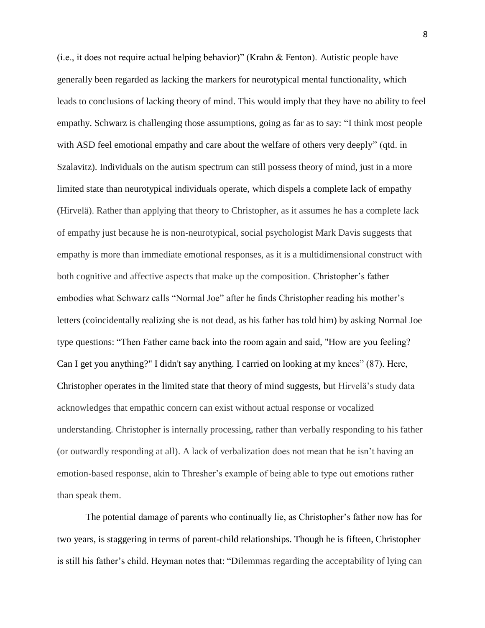(i.e., it does not require actual helping behavior)" (Krahn & Fenton). Autistic people have generally been regarded as lacking the markers for neurotypical mental functionality, which leads to conclusions of lacking theory of mind. This would imply that they have no ability to feel empathy. Schwarz is challenging those assumptions, going as far as to say: "I think most people with ASD feel emotional empathy and care about the welfare of others very deeply" (qtd. in Szalavitz). Individuals on the autism spectrum can still possess theory of mind, just in a more limited state than neurotypical individuals operate, which dispels a complete lack of empathy (Hirvelä). Rather than applying that theory to Christopher, as it assumes he has a complete lack of empathy just because he is non-neurotypical, social psychologist Mark Davis suggests that empathy is more than immediate emotional responses, as it is a multidimensional construct with both cognitive and affective aspects that make up the composition. Christopher's father embodies what Schwarz calls "Normal Joe" after he finds Christopher reading his mother's letters (coincidentally realizing she is not dead, as his father has told him) by asking Normal Joe type questions: "Then Father came back into the room again and said, "How are you feeling? Can I get you anything?" I didn't say anything. I carried on looking at my knees" (87). Here, Christopher operates in the limited state that theory of mind suggests, but Hirvelä's study data acknowledges that empathic concern can exist without actual response or vocalized understanding. Christopher is internally processing, rather than verbally responding to his father (or outwardly responding at all). A lack of verbalization does not mean that he isn't having an emotion-based response, akin to Thresher's example of being able to type out emotions rather than speak them.

The potential damage of parents who continually lie, as Christopher's father now has for two years, is staggering in terms of parent-child relationships. Though he is fifteen, Christopher is still his father's child. Heyman notes that: "Dilemmas regarding the acceptability of lying can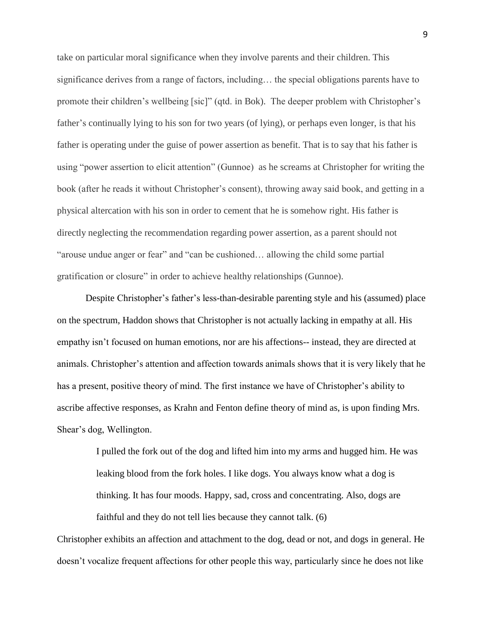take on particular moral significance when they involve parents and their children. This significance derives from a range of factors, including… the special obligations parents have to promote their children's wellbeing [sic]" (qtd. in Bok). The deeper problem with Christopher's father's continually lying to his son for two years (of lying), or perhaps even longer, is that his father is operating under the guise of power assertion as benefit. That is to say that his father is using "power assertion to elicit attention" (Gunnoe) as he screams at Christopher for writing the book (after he reads it without Christopher's consent), throwing away said book, and getting in a physical altercation with his son in order to cement that he is somehow right. His father is directly neglecting the recommendation regarding power assertion, as a parent should not "arouse undue anger or fear" and "can be cushioned… allowing the child some partial gratification or closure" in order to achieve healthy relationships (Gunnoe).

Despite Christopher's father's less-than-desirable parenting style and his (assumed) place on the spectrum, Haddon shows that Christopher is not actually lacking in empathy at all. His empathy isn't focused on human emotions, nor are his affections-- instead, they are directed at animals. Christopher's attention and affection towards animals shows that it is very likely that he has a present, positive theory of mind. The first instance we have of Christopher's ability to ascribe affective responses, as Krahn and Fenton define theory of mind as, is upon finding Mrs. Shear's dog, Wellington.

> I pulled the fork out of the dog and lifted him into my arms and hugged him. He was leaking blood from the fork holes. I like dogs. You always know what a dog is thinking. It has four moods. Happy, sad, cross and concentrating. Also, dogs are faithful and they do not tell lies because they cannot talk. (6)

Christopher exhibits an affection and attachment to the dog, dead or not, and dogs in general. He doesn't vocalize frequent affections for other people this way, particularly since he does not like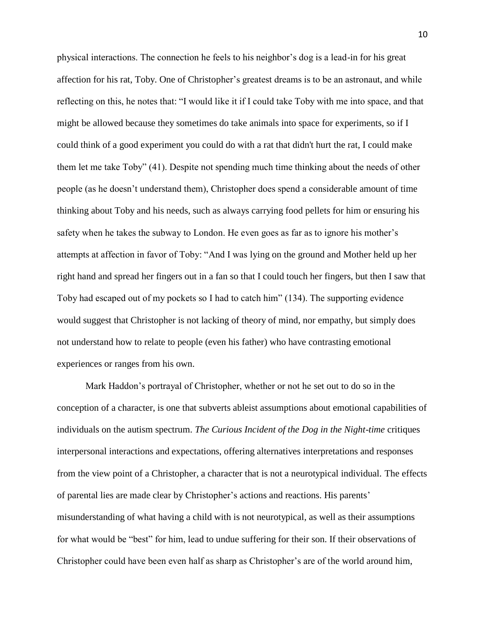physical interactions. The connection he feels to his neighbor's dog is a lead-in for his great affection for his rat, Toby. One of Christopher's greatest dreams is to be an astronaut, and while reflecting on this, he notes that: "I would like it if I could take Toby with me into space, and that might be allowed because they sometimes do take animals into space for experiments, so if I could think of a good experiment you could do with a rat that didn't hurt the rat, I could make them let me take Toby" (41). Despite not spending much time thinking about the needs of other people (as he doesn't understand them), Christopher does spend a considerable amount of time thinking about Toby and his needs, such as always carrying food pellets for him or ensuring his safety when he takes the subway to London. He even goes as far as to ignore his mother's attempts at affection in favor of Toby: "And I was lying on the ground and Mother held up her right hand and spread her fingers out in a fan so that I could touch her fingers, but then I saw that Toby had escaped out of my pockets so I had to catch him" (134). The supporting evidence would suggest that Christopher is not lacking of theory of mind, nor empathy, but simply does not understand how to relate to people (even his father) who have contrasting emotional experiences or ranges from his own.

Mark Haddon's portrayal of Christopher, whether or not he set out to do so in the conception of a character, is one that subverts ableist assumptions about emotional capabilities of individuals on the autism spectrum. *The Curious Incident of the Dog in the Night-time* critiques interpersonal interactions and expectations, offering alternatives interpretations and responses from the view point of a Christopher, a character that is not a neurotypical individual. The effects of parental lies are made clear by Christopher's actions and reactions. His parents' misunderstanding of what having a child with is not neurotypical, as well as their assumptions for what would be "best" for him, lead to undue suffering for their son. If their observations of Christopher could have been even half as sharp as Christopher's are of the world around him,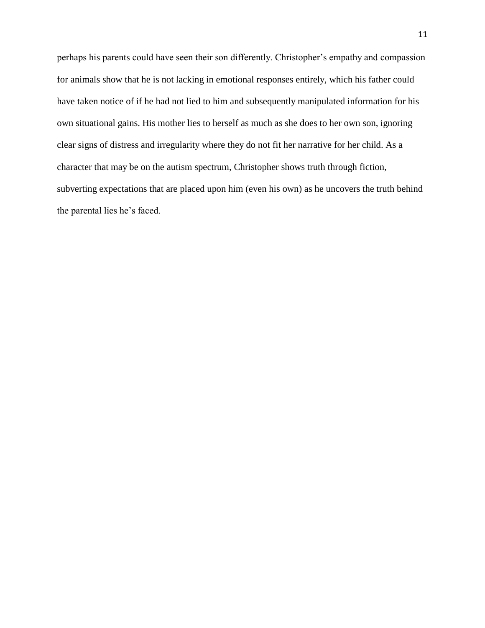perhaps his parents could have seen their son differently. Christopher's empathy and compassion for animals show that he is not lacking in emotional responses entirely, which his father could have taken notice of if he had not lied to him and subsequently manipulated information for his own situational gains. His mother lies to herself as much as she does to her own son, ignoring clear signs of distress and irregularity where they do not fit her narrative for her child. As a character that may be on the autism spectrum, Christopher shows truth through fiction, subverting expectations that are placed upon him (even his own) as he uncovers the truth behind the parental lies he's faced.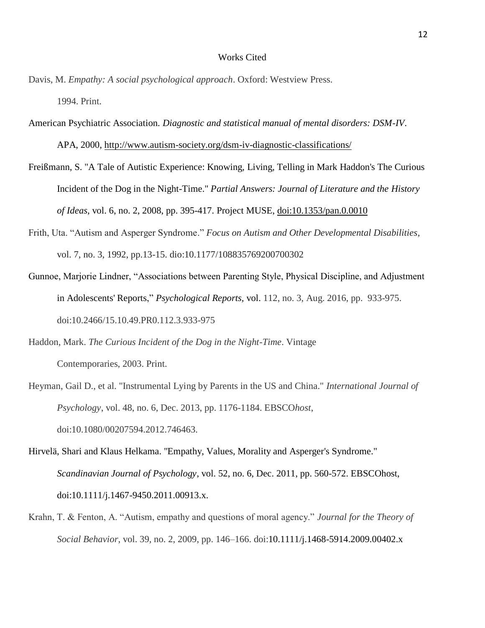## Works Cited

- Davis, M. *Empathy: A social psychological approach*. Oxford: Westview Press. 1994. Print.
- American Psychiatric Association. *Diagnostic and statistical manual of mental disorders: DSM-IV*. APA, 2000,<http://www.autism-society.org/dsm-iv-diagnostic-classifications/>
- Freißmann, S. "A Tale of Autistic Experience: Knowing, Living, Telling in Mark Haddon's The Curious Incident of the Dog in the Night-Time." *Partial Answers: Journal of Literature and the History of Ideas*, vol. 6, no. 2, 2008, pp. 395-417. Project MUSE, [doi:10.1353/pan.0.0010](http://doi.org/10.1353/pan.0.0010)
- Frith, Uta. "Autism and Asperger Syndrome." *Focus on Autism and Other Developmental Disabilities,*  vol. 7, no. 3, 1992, pp.13-15. dio:10.1177/108835769200700302
- Gunnoe, Marjorie Lindner, "Associations between Parenting Style, Physical Discipline, and Adjustment in Adolescents' Reports," *Psychological Reports,* vol. 112, no. 3, Aug. 2016, pp. 933-975. doi:10.2466/15.10.49.PR0.112.3.933-975

Haddon, Mark. *The Curious Incident of the Dog in the Night-Time*. Vintage Contemporaries, 2003. Print.

- Heyman, Gail D., et al. "Instrumental Lying by Parents in the US and China." *International Journal of Psychology*, vol. 48, no. 6, Dec. 2013, pp. 1176-1184. EBSCO*host*, doi:10.1080/00207594.2012.746463.
- Hirvelä, Shari and Klaus Helkama. "Empathy, Values, Morality and Asperger's Syndrome." *Scandinavian Journal of Psychology*, vol. 52, no. 6, Dec. 2011, pp. 560-572. EBSCOhost, doi:10.1111/j.1467-9450.2011.00913.x.
- Krahn, T. & Fenton, A. "Autism, empathy and questions of moral agency." *Journal for the Theory of Social Behavior*, vol. 39, no. 2, 2009, pp. 146–166. doi:10.1111/j.1468-5914.2009.00402.x